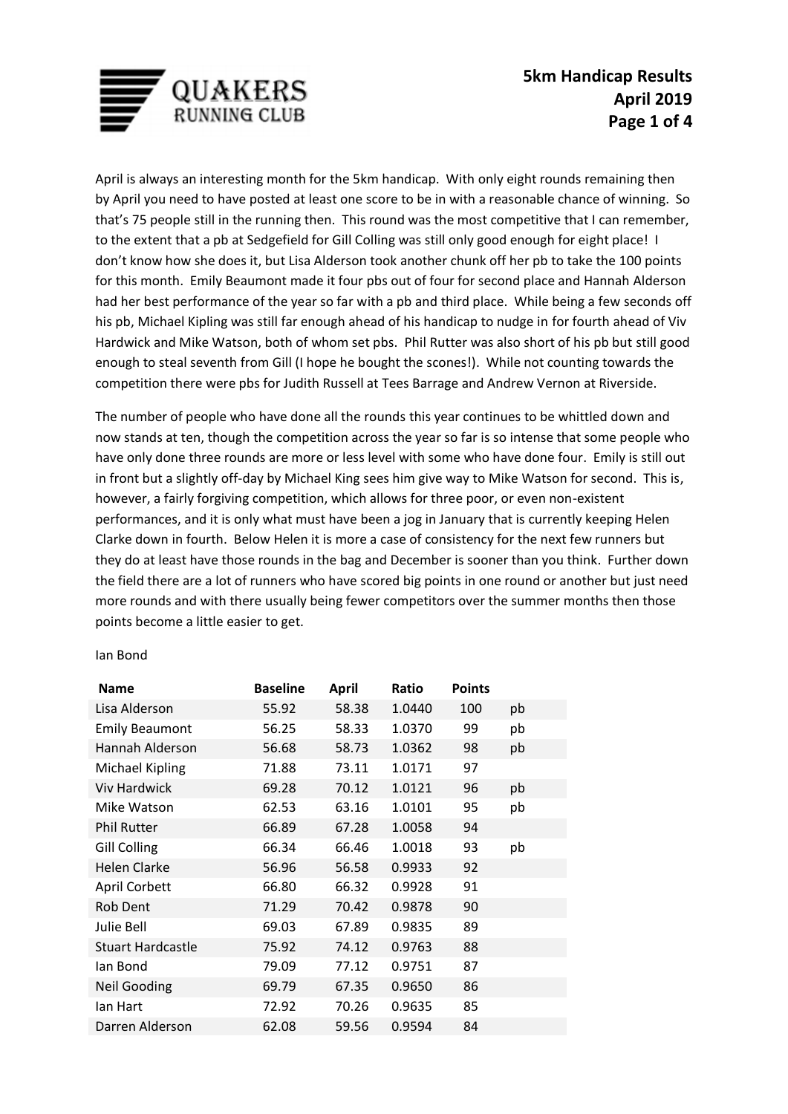

April is always an interesting month for the 5km handicap. With only eight rounds remaining then by April you need to have posted at least one score to be in with a reasonable chance of winning. So that's 75 people still in the running then. This round was the most competitive that I can remember, to the extent that a pb at Sedgefield for Gill Colling was still only good enough for eight place! I don't know how she does it, but Lisa Alderson took another chunk off her pb to take the 100 points for this month. Emily Beaumont made it four pbs out of four for second place and Hannah Alderson had her best performance of the year so far with a pb and third place. While being a few seconds off his pb, Michael Kipling was still far enough ahead of his handicap to nudge in for fourth ahead of Viv Hardwick and Mike Watson, both of whom set pbs. Phil Rutter was also short of his pb but still good enough to steal seventh from Gill (I hope he bought the scones!). While not counting towards the competition there were pbs for Judith Russell at Tees Barrage and Andrew Vernon at Riverside.

The number of people who have done all the rounds this year continues to be whittled down and now stands at ten, though the competition across the year so far is so intense that some people who have only done three rounds are more or less level with some who have done four. Emily is still out in front but a slightly off-day by Michael King sees him give way to Mike Watson for second. This is, however, a fairly forgiving competition, which allows for three poor, or even non-existent performances, and it is only what must have been a jog in January that is currently keeping Helen Clarke down in fourth. Below Helen it is more a case of consistency for the next few runners but they do at least have those rounds in the bag and December is sooner than you think. Further down the field there are a lot of runners who have scored big points in one round or another but just need more rounds and with there usually being fewer competitors over the summer months then those points become a little easier to get.

## Ian Bond

| <b>Name</b>              | <b>Baseline</b> | <b>April</b> | Ratio  | <b>Points</b> |    |
|--------------------------|-----------------|--------------|--------|---------------|----|
| Lisa Alderson            | 55.92           | 58.38        | 1.0440 | 100           | pb |
| <b>Emily Beaumont</b>    | 56.25           | 58.33        | 1.0370 | 99            | pb |
| Hannah Alderson          | 56.68           | 58.73        | 1.0362 | 98            | pb |
| <b>Michael Kipling</b>   | 71.88           | 73.11        | 1.0171 | 97            |    |
| <b>Viv Hardwick</b>      | 69.28           | 70.12        | 1.0121 | 96            | pb |
| Mike Watson              | 62.53           | 63.16        | 1.0101 | 95            | pb |
| <b>Phil Rutter</b>       | 66.89           | 67.28        | 1.0058 | 94            |    |
| <b>Gill Colling</b>      | 66.34           | 66.46        | 1.0018 | 93            | pb |
| <b>Helen Clarke</b>      | 56.96           | 56.58        | 0.9933 | 92            |    |
| <b>April Corbett</b>     | 66.80           | 66.32        | 0.9928 | 91            |    |
| Rob Dent                 | 71.29           | 70.42        | 0.9878 | 90            |    |
| Julie Bell               | 69.03           | 67.89        | 0.9835 | 89            |    |
| <b>Stuart Hardcastle</b> | 75.92           | 74.12        | 0.9763 | 88            |    |
| lan Bond                 | 79.09           | 77.12        | 0.9751 | 87            |    |
| <b>Neil Gooding</b>      | 69.79           | 67.35        | 0.9650 | 86            |    |
| lan Hart                 | 72.92           | 70.26        | 0.9635 | 85            |    |
| Darren Alderson          | 62.08           | 59.56        | 0.9594 | 84            |    |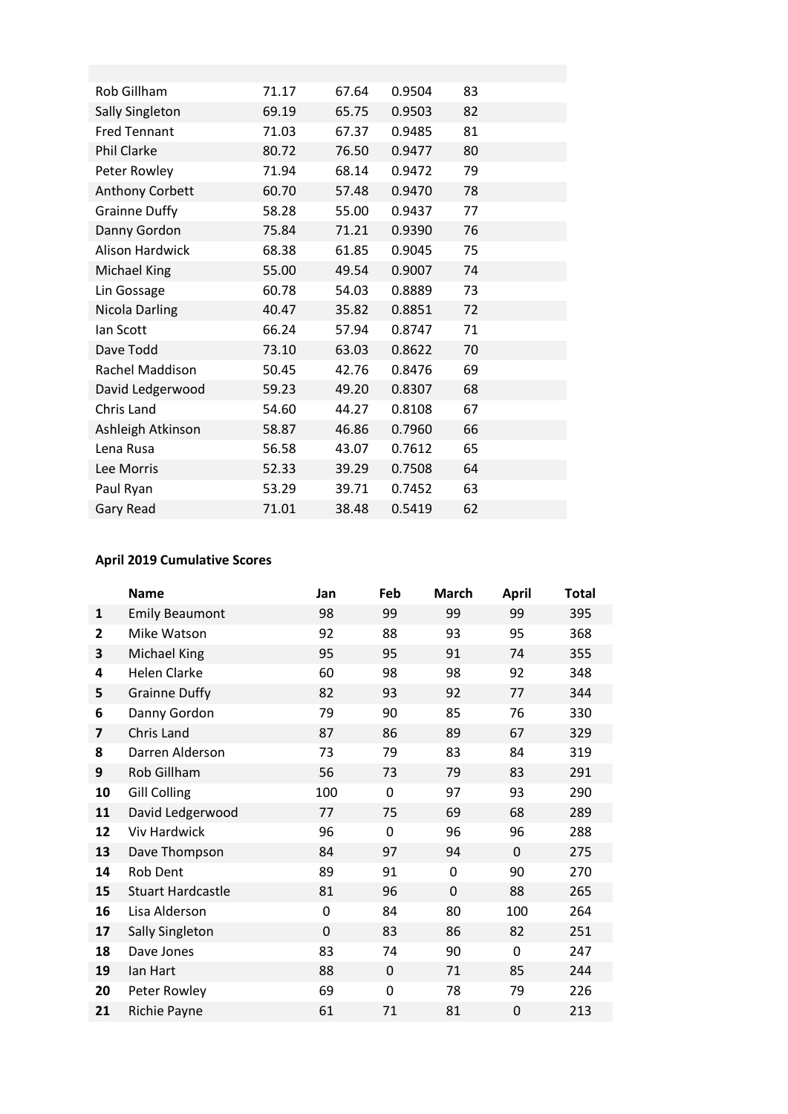| Rob Gillham            | 71.17 | 67.64 | 0.9504 | 83 |
|------------------------|-------|-------|--------|----|
| <b>Sally Singleton</b> | 69.19 | 65.75 | 0.9503 | 82 |
| <b>Fred Tennant</b>    | 71.03 | 67.37 | 0.9485 | 81 |
| Phil Clarke            | 80.72 | 76.50 | 0.9477 | 80 |
| Peter Rowley           | 71.94 | 68.14 | 0.9472 | 79 |
| Anthony Corbett        | 60.70 | 57.48 | 0.9470 | 78 |
| <b>Grainne Duffy</b>   | 58.28 | 55.00 | 0.9437 | 77 |
| Danny Gordon           | 75.84 | 71.21 | 0.9390 | 76 |
| <b>Alison Hardwick</b> | 68.38 | 61.85 | 0.9045 | 75 |
| Michael King           | 55.00 | 49.54 | 0.9007 | 74 |
| Lin Gossage            | 60.78 | 54.03 | 0.8889 | 73 |
| Nicola Darling         | 40.47 | 35.82 | 0.8851 | 72 |
| lan Scott              | 66.24 | 57.94 | 0.8747 | 71 |
| Dave Todd              | 73.10 | 63.03 | 0.8622 | 70 |
| Rachel Maddison        | 50.45 | 42.76 | 0.8476 | 69 |
| David Ledgerwood       | 59.23 | 49.20 | 0.8307 | 68 |
| Chris Land             | 54.60 | 44.27 | 0.8108 | 67 |
| Ashleigh Atkinson      | 58.87 | 46.86 | 0.7960 | 66 |
| Lena Rusa              | 56.58 | 43.07 | 0.7612 | 65 |
| Lee Morris             | 52.33 | 39.29 | 0.7508 | 64 |
| Paul Ryan              | 53.29 | 39.71 | 0.7452 | 63 |
| Gary Read              | 71.01 | 38.48 | 0.5419 | 62 |

## **April 2019 Cumulative Scores**

|                | <b>Name</b>              | Jan         | Feb         | March | <b>April</b> | <b>Total</b> |
|----------------|--------------------------|-------------|-------------|-------|--------------|--------------|
| $\mathbf{1}$   | <b>Emily Beaumont</b>    | 98          | 99          | 99    | 99           | 395          |
| $\overline{2}$ | Mike Watson              | 92          | 88          | 93    | 95           | 368          |
| 3              | Michael King             | 95          | 95          | 91    | 74           | 355          |
| 4              | <b>Helen Clarke</b>      | 60          | 98          | 98    | 92           | 348          |
| 5              | <b>Grainne Duffy</b>     | 82          | 93          | 92    | 77           | 344          |
| 6              | Danny Gordon             | 79          | 90          | 85    | 76           | 330          |
| $\overline{7}$ | Chris Land               | 87          | 86          | 89    | 67           | 329          |
| 8              | Darren Alderson          | 73          | 79          | 83    | 84           | 319          |
| 9              | Rob Gillham              | 56          | 73          | 79    | 83           | 291          |
| 10             | <b>Gill Colling</b>      | 100         | $\mathbf 0$ | 97    | 93           | 290          |
| 11             | David Ledgerwood         | 77          | 75          | 69    | 68           | 289          |
| 12             | <b>Viv Hardwick</b>      | 96          | 0           | 96    | 96           | 288          |
| 13             | Dave Thompson            | 84          | 97          | 94    | $\mathbf 0$  | 275          |
| 14             | Rob Dent                 | 89          | 91          | 0     | 90           | 270          |
| 15             | <b>Stuart Hardcastle</b> | 81          | 96          | 0     | 88           | 265          |
| 16             | Lisa Alderson            | $\mathbf 0$ | 84          | 80    | 100          | 264          |
| 17             | <b>Sally Singleton</b>   | $\mathbf 0$ | 83          | 86    | 82           | 251          |
| 18             | Dave Jones               | 83          | 74          | 90    | $\mathbf 0$  | 247          |
| 19             | lan Hart                 | 88          | $\Omega$    | 71    | 85           | 244          |
| 20             | Peter Rowley             | 69          | $\mathbf 0$ | 78    | 79           | 226          |
| 21             | Richie Payne             | 61          | 71          | 81    | $\mathbf 0$  | 213          |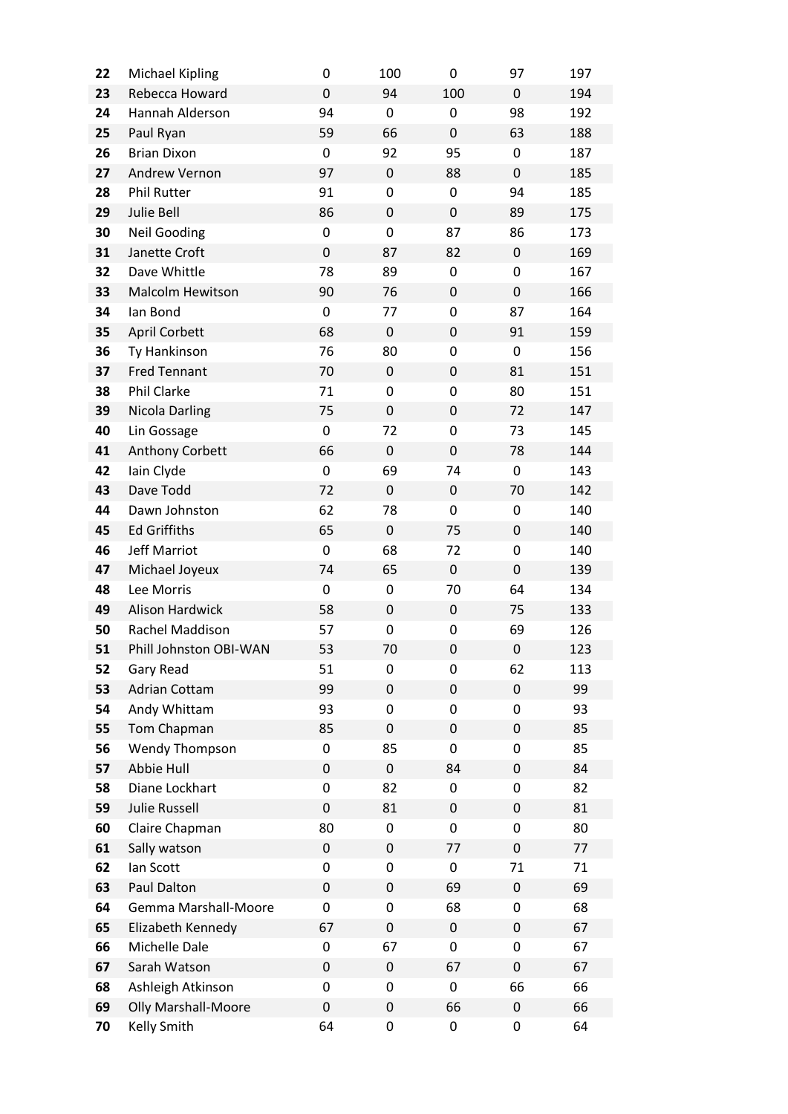| 22 | <b>Michael Kipling</b>     | $\mathbf 0$      | 100              | 0                | 97               | 197 |
|----|----------------------------|------------------|------------------|------------------|------------------|-----|
| 23 | Rebecca Howard             | $\mathbf 0$      | 94               | 100              | $\mathbf 0$      | 194 |
| 24 | Hannah Alderson            | 94               | 0                | 0                | 98               | 192 |
| 25 | Paul Ryan                  | 59               | 66               | $\mathbf 0$      | 63               | 188 |
| 26 | <b>Brian Dixon</b>         | 0                | 92               | 95               | $\mathbf 0$      | 187 |
| 27 | Andrew Vernon              | 97               | 0                | 88               | $\mathbf 0$      | 185 |
| 28 | <b>Phil Rutter</b>         | 91               | 0                | $\mathbf 0$      | 94               | 185 |
| 29 | Julie Bell                 | 86               | $\mathbf 0$      | $\mathbf 0$      | 89               | 175 |
| 30 | <b>Neil Gooding</b>        | $\mathbf 0$      | 0                | 87               | 86               | 173 |
| 31 | Janette Croft              | $\mathbf 0$      | 87               | 82               | $\mathbf 0$      | 169 |
| 32 | Dave Whittle               | 78               | 89               | 0                | $\mathbf 0$      | 167 |
| 33 | <b>Malcolm Hewitson</b>    | 90               | 76               | $\mathbf 0$      | $\mathbf 0$      | 166 |
| 34 | lan Bond                   | 0                | 77               | 0                | 87               | 164 |
| 35 | <b>April Corbett</b>       | 68               | $\pmb{0}$        | $\mathbf 0$      | 91               | 159 |
| 36 | Ty Hankinson               | 76               | 80               | 0                | $\mathbf 0$      | 156 |
| 37 | <b>Fred Tennant</b>        | 70               | 0                | $\mathbf 0$      | 81               | 151 |
| 38 | <b>Phil Clarke</b>         | 71               | 0                | 0                | 80               | 151 |
| 39 | Nicola Darling             | 75               | $\mathbf 0$      | $\mathbf 0$      | 72               | 147 |
| 40 | Lin Gossage                | $\mathbf 0$      | 72               | 0                | 73               | 145 |
| 41 | Anthony Corbett            | 66               | $\boldsymbol{0}$ | $\mathbf 0$      | 78               | 144 |
| 42 | lain Clyde                 | $\mathbf 0$      | 69               | 74               | $\mathbf 0$      | 143 |
| 43 | Dave Todd                  | 72               | $\mathbf 0$      | $\mathbf 0$      | 70               | 142 |
| 44 | Dawn Johnston              | 62               | 78               | $\mathbf 0$      | $\mathbf 0$      | 140 |
| 45 | <b>Ed Griffiths</b>        | 65               | $\boldsymbol{0}$ | 75               | $\mathbf 0$      | 140 |
| 46 | <b>Jeff Marriot</b>        | $\mathbf 0$      | 68               | 72               | $\mathbf 0$      | 140 |
| 47 | Michael Joyeux             | 74               | 65               | $\mathbf 0$      | $\mathbf 0$      | 139 |
| 48 | Lee Morris                 | $\mathbf 0$      | 0                | 70               | 64               | 134 |
| 49 | Alison Hardwick            | 58               | $\mathbf 0$      | $\mathbf 0$      | 75               | 133 |
| 50 | Rachel Maddison            | 57               | 0                | 0                | 69               | 126 |
| 51 | Phill Johnston OBI-WAN     | 53               | 70               | $\mathbf 0$      | $\mathbf 0$      | 123 |
| 52 | Gary Read                  | 51               | 0                | 0                | 62               | 113 |
| 53 | <b>Adrian Cottam</b>       | 99               | 0                | $\mathbf 0$      | $\mathbf 0$      | 99  |
| 54 | Andy Whittam               | 93               | 0                | 0                | 0                | 93  |
| 55 | Tom Chapman                | 85               | $\pmb{0}$        | $\mathbf 0$      | 0                | 85  |
| 56 | Wendy Thompson             | 0                | 85               | 0                | 0                | 85  |
| 57 | Abbie Hull                 | $\pmb{0}$        | 0                | 84               | $\mathbf 0$      | 84  |
| 58 | Diane Lockhart             | 0                | 82               | 0                | 0                | 82  |
| 59 | <b>Julie Russell</b>       | $\pmb{0}$        | 81               | $\boldsymbol{0}$ | 0                | 81  |
| 60 | Claire Chapman             | 80               | 0                | 0                | 0                | 80  |
| 61 | Sally watson               | $\pmb{0}$        | $\mathbf 0$      | 77               | $\mathbf 0$      | 77  |
| 62 | lan Scott                  | 0                | 0                | 0                | 71               | 71  |
| 63 | Paul Dalton                | $\pmb{0}$        | $\mathbf 0$      | 69               | $\boldsymbol{0}$ | 69  |
| 64 | Gemma Marshall-Moore       | 0                | 0                | 68               | 0                | 68  |
| 65 | Elizabeth Kennedy          | 67               | $\mathbf 0$      | $\boldsymbol{0}$ | $\mathbf 0$      | 67  |
| 66 | Michelle Dale              | 0                | 67               | 0                | 0                | 67  |
| 67 | Sarah Watson               | $\boldsymbol{0}$ | 0                | 67               | $\boldsymbol{0}$ | 67  |
| 68 | Ashleigh Atkinson          | 0                | 0                | 0                | 66               | 66  |
| 69 | <b>Olly Marshall-Moore</b> | $\pmb{0}$        | 0                | 66               | $\pmb{0}$        | 66  |
| 70 | Kelly Smith                | 64               | 0                | 0                | 0                | 64  |